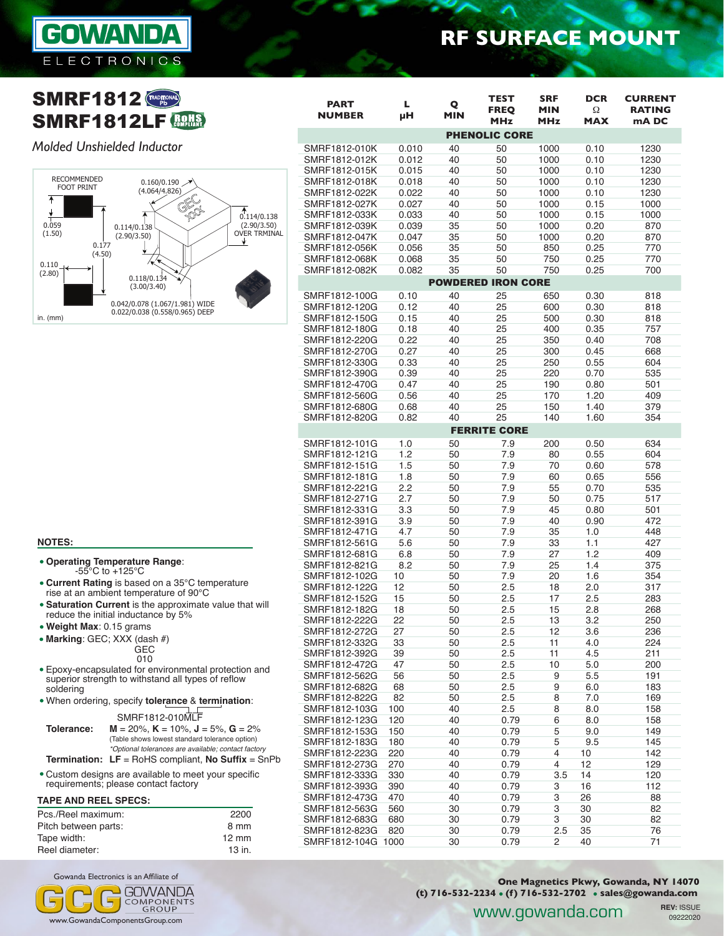

## **SMRF1812 SMRF1812LF <b>BOHS**

### *Molded Unshielded Inductor*



|                              |         |                 |                                          |                                        |                               | <b>RF SURFACE MOUNT</b>                  |  |
|------------------------------|---------|-----------------|------------------------------------------|----------------------------------------|-------------------------------|------------------------------------------|--|
|                              |         |                 |                                          |                                        |                               |                                          |  |
| <b>PART</b><br><b>NUMBER</b> | L<br>μH | Q<br><b>MIN</b> | <b>TEST</b><br><b>FREQ</b><br><b>MHz</b> | <b>SRF</b><br><b>MIN</b><br><b>MHz</b> | <b>DCR</b><br>Ω<br><b>MAX</b> | <b>CURRENT</b><br><b>RATING</b><br>mA DC |  |
|                              |         |                 | <b>PHENOLIC CORE</b>                     |                                        |                               |                                          |  |
| SMRF1812-010K                | 0.010   | 40              | 50                                       | 1000                                   | 0.10                          | 1230                                     |  |
| SMRF1812-012K                | 0.012   | 40              | 50                                       | 1000                                   | 0.10                          | 1230                                     |  |
| SMRF1812-015K                | 0.015   | 40              | 50                                       | 1000                                   | 0.10                          | 1230                                     |  |
| SMRF1812-018K                | 0.018   | 40              | 50                                       | 1000                                   | 0.10                          | 1230                                     |  |
| SMRF1812-022K                | 0.022   | 40              | 50                                       | 1000                                   | 0.10                          | 1230                                     |  |
| SMRF1812-027K                | 0.027   | 40              | 50                                       | 1000                                   | 0.15                          | 1000                                     |  |
| SMRF1812-033K                | 0.033   | 40              | 50                                       | 1000                                   | 0.15                          | 1000                                     |  |
| SMRF1812-039K                | 0.039   | 35              | 50                                       | 1000                                   | 0.20                          | 870                                      |  |
| SMRF1812-047K                | 0.047   | 35              | 50                                       | 1000                                   | 0.20                          | 870                                      |  |
| SMRF1812-056K                | 0.056   | 35              | 50                                       | 850                                    | 0.25                          | 770                                      |  |
| SMRF1812-068K                | 0.068   | 35              | 50                                       | 750                                    | 0.25                          | 770                                      |  |
| SMRF1812-082K                | 0.082   | 35              | 50                                       | 750                                    | 0.25                          | 700                                      |  |
|                              |         |                 | <b>POWDERED IRON CORE</b>                |                                        |                               |                                          |  |
| SMRF1812-100G                | 0.10    | 40              | 25                                       | 650                                    | 0.30                          | 818                                      |  |
| SMRF1812-120G                | 0.12    | 40              | 25                                       | 600                                    | 0.30                          | 818                                      |  |
| SMRF1812-150G                | 0.15    | 40              | 25                                       | 500                                    | 0.30                          | 818                                      |  |
| SMRF1812-180G                | 0.18    | 40              | 25                                       | 400                                    | 0.35                          | 757                                      |  |
| SMRF1812-220G                | 0.22    | 40              | 25                                       | 350                                    | 0.40                          | 708                                      |  |
| SMRF1812-270G                | 0.27    | 40              | 25                                       | 300                                    | 0.45                          | 668                                      |  |
| SMRF1812-330G                | 0.33    | 40              | 25                                       | 250                                    | 0.55                          | 604                                      |  |

SMRF1812-390G 0.39 40 25 220 0.70 535 SMRF1812-470G 0.47 40 25 190 0.80 501 SMRF1812-560G 0.56 40 25 170 1.20 409

SMRF1812-820G 0.82 40 25 140 1.60 354 FERRITE CORE SMRF1812-101G 1.0 50 7.9 200 0.50 634 SMRF1812-121G 1.2 50 7.9 80 0.55 604

SMRF1812-181G 1.8 50 7.9 60 0.65 556 SMRF1812-221G 2.2 50 7.9 55 0.70 535

SMRF1812-331G 3.3 50 7.9 45 0.80 501

SMRF1812-471G 4.7 50 7.9 35 1.0 448

SMRF1812-681G 6.8 50 7.9 27 1.2 409 SMRF1812-821G 8.2 50 7.9 25 1.4 375 SMRF1812-102G 10 50 7.9 20 1.6 354 SMRF1812-122G 12 50 2.5 18 2.0 317 SMRF1812-152G 15 50 2.5 17 2.5 283

SMRF1812-222G 22 50 2.5 13 3.2 250 SMRF1812-272G 27 50 2.5 12 3.6 236 SMRF1812-332G 33 50 2.5 11 4.0 224 SMRF1812-392G 39 50 2.5 11 4.5 211

SMRF1812-562G 56 50 2.5 9 5.5 191

SMRF1812-822G 82 50 2.5 8 7.0 169 SMRF1812-103G 100 40 2.5 8 8.0 158

SMRF1812-153G 150 40 0.79 5 9.0 149

SMRF1812-223G 220 40 0.79 4 10 142 SMRF1812-273G 270 40 0.79 4 12 129 SMRF1812-333G 330 40 0.79 3.5 14 120 SMRF1812-393G 390 40 0.79 3 16 112 SMRF1812-473G 470 40 0.79 3 26 88 SMRF1812-563G 560 30 0.79 3 30 82 SMRF1812-683G 680 30 0.79 3 30 82 SMRF1812-823G 820 30 0.79 2.5 35 76

SMRF1812-183G 180 40 0.79 5 9.5

SMRF1812-680G 0.68 40 25 150 1.40 379

SMRF1812-561G 5.6 50 7.9 33 1.1

SMRF1812-151G 1.5 50 7.9 70 0.60 578

SMRF1812-271G 2.7 50 7.9<br>SMRF1812-331G 3.3 50 7.9

SMRF1812-182G 18 50 2.5<br>SMRF1812-222G 22 50 2.5

SMRF1812-391G 3.9 50<br>SMRF1812-471G 4.7 50

SMRF1812-472G 47 50<br>SMRF1812-562G 56 50

SMRF1812-682G

SMRF1812-123G

SMRF1812-104G

## **NOTES:**

- **Operating Temperature Range**:  $-55^{\circ}$ C to  $+125^{\circ}$ C **Current Rating** is based on a 35°C temperature
- rise at an ambient temperature of 90°C **Saturation Current** is the approximate value that will
- reduce the initial inductance by 5%
- **Weight Max**: 0.15 grams
- **Marking**: GEC; XXX (dash #)
	- **G<sub>EC</sub>** 010
- Epoxy-encapsulated for environmental protection and superior strength to withstand all types of reflow soldering
- When ordering, specify **tolerance** & **termination**:

SMRF1812-010MLF

| Tolerance: | $M = 20\%$ , $K = 10\%$ , $J = 5\%$ , $G = 2\%$     |  |  |  |  |  |
|------------|-----------------------------------------------------|--|--|--|--|--|
|            | (Table shows lowest standard tolerance option)      |  |  |  |  |  |
|            | *Optional tolerances are available; contact factory |  |  |  |  |  |
|            |                                                     |  |  |  |  |  |

- **Termination: LF** = RoHS compliant, **No Suffix** = SnPb
- Custom designs are available to meet your specific requirements; please contact factory

#### **TAPE AND REEL SPECS:**

| Pcs./Reel maximum:   | 2200            |
|----------------------|-----------------|
| Pitch between parts: | 8 mm            |
| Tape width:          | $12 \text{ mm}$ |
| Reel diameter:       | 13 in.          |

Gowanda Electronics is an Affiliate of

www.GowandaComponentsGroup.com



**One Magnetics Pkwy, Gowanda, NY 14070 (t) 716-532-2234 (f) 716-532-2702 sales@gowanda.com**